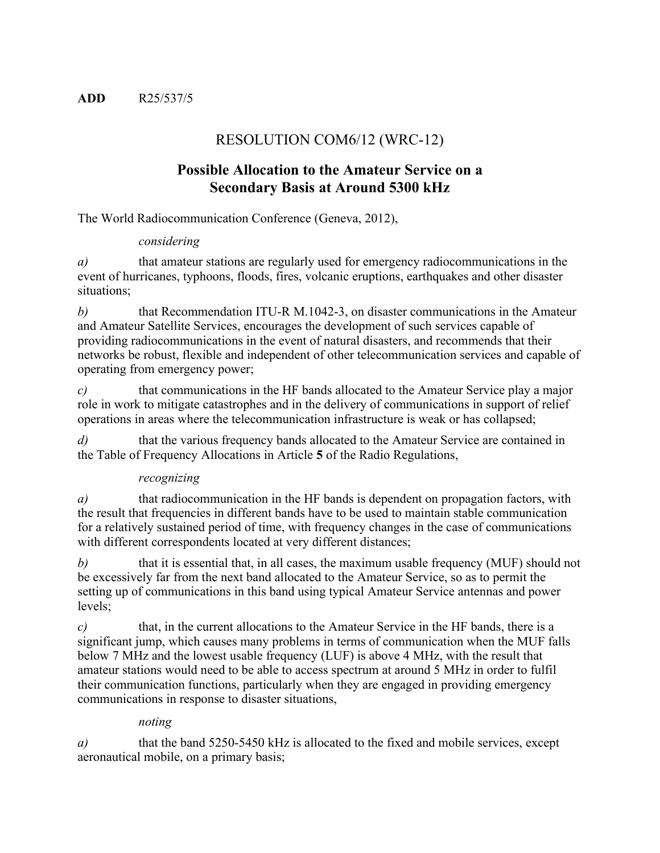# RESOLUTION COM6/12 (WRC-12)

# **Possible Allocation to the Amateur Service on a Secondary Basis at Around 5300 kHz**

The World Radiocommunication Conference (Geneva, 2012),

#### *considering*

*a)* that amateur stations are regularly used for emergency radiocommunications in the event of hurricanes, typhoons, floods, fires, volcanic eruptions, earthquakes and other disaster situations;

*b)* that Recommendation ITU-R M.1042-3, on disaster communications in the Amateur and Amateur Satellite Services, encourages the development of such services capable of providing radiocommunications in the event of natural disasters, and recommends that their networks be robust, flexible and independent of other telecommunication services and capable of operating from emergency power;

*c)* that communications in the HF bands allocated to the Amateur Service play a major role in work to mitigate catastrophes and in the delivery of communications in support of relief operations in areas where the telecommunication infrastructure is weak or has collapsed;

*d*) that the various frequency bands allocated to the Amateur Service are contained in the Table of Frequency Allocations in Article **5** of the Radio Regulations,

## *recognizing*

*a)* that radiocommunication in the HF bands is dependent on propagation factors, with the result that frequencies in different bands have to be used to maintain stable communication for a relatively sustained period of time, with frequency changes in the case of communications with different correspondents located at very different distances;

*b*) that it is essential that, in all cases, the maximum usable frequency (MUF) should not be excessively far from the next band allocated to the Amateur Service, so as to permit the setting up of communications in this band using typical Amateur Service antennas and power levels;

*c)* that, in the current allocations to the Amateur Service in the HF bands, there is a significant jump, which causes many problems in terms of communication when the MUF falls below 7 MHz and the lowest usable frequency (LUF) is above 4 MHz, with the result that amateur stations would need to be able to access spectrum at around 5 MHz in order to fulfil their communication functions, particularly when they are engaged in providing emergency communications in response to disaster situations,

## *noting*

*a*) that the band 5250-5450 kHz is allocated to the fixed and mobile services, except aeronautical mobile, on a primary basis;